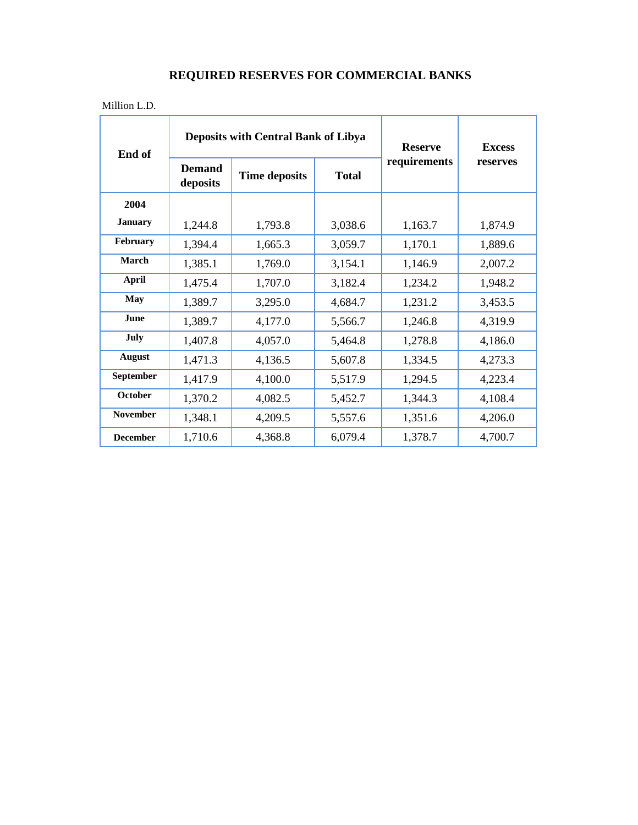Million L.D.

| End of           | <b>Deposits with Central Bank of Libya</b> |                      |              | <b>Reserve</b> | <b>Excess</b> |
|------------------|--------------------------------------------|----------------------|--------------|----------------|---------------|
|                  | <b>Demand</b><br>deposits                  | <b>Time deposits</b> | <b>Total</b> | requirements   | reserves      |
| 2004             |                                            |                      |              |                |               |
| <b>January</b>   | 1,244.8                                    | 1,793.8              | 3,038.6      | 1,163.7        | 1,874.9       |
| February         | 1,394.4                                    | 1,665.3              | 3,059.7      | 1,170.1        | 1,889.6       |
| March            | 1,385.1                                    | 1,769.0              | 3,154.1      | 1,146.9        | 2,007.2       |
| <b>April</b>     | 1,475.4                                    | 1,707.0              | 3,182.4      | 1,234.2        | 1,948.2       |
| May              | 1,389.7                                    | 3,295.0              | 4,684.7      | 1,231.2        | 3,453.5       |
| <b>June</b>      | 1,389.7                                    | 4,177.0              | 5,566.7      | 1,246.8        | 4,319.9       |
| July             | 1,407.8                                    | 4,057.0              | 5,464.8      | 1,278.8        | 4,186.0       |
| <b>August</b>    | 1,471.3                                    | 4,136.5              | 5,607.8      | 1,334.5        | 4,273.3       |
| <b>September</b> | 1,417.9                                    | 4,100.0              | 5,517.9      | 1,294.5        | 4,223.4       |
| <b>October</b>   | 1,370.2                                    | 4,082.5              | 5,452.7      | 1,344.3        | 4,108.4       |
| <b>November</b>  | 1,348.1                                    | 4,209.5              | 5,557.6      | 1,351.6        | 4,206.0       |
| <b>December</b>  | 1,710.6                                    | 4,368.8              | 6,079.4      | 1,378.7        | 4,700.7       |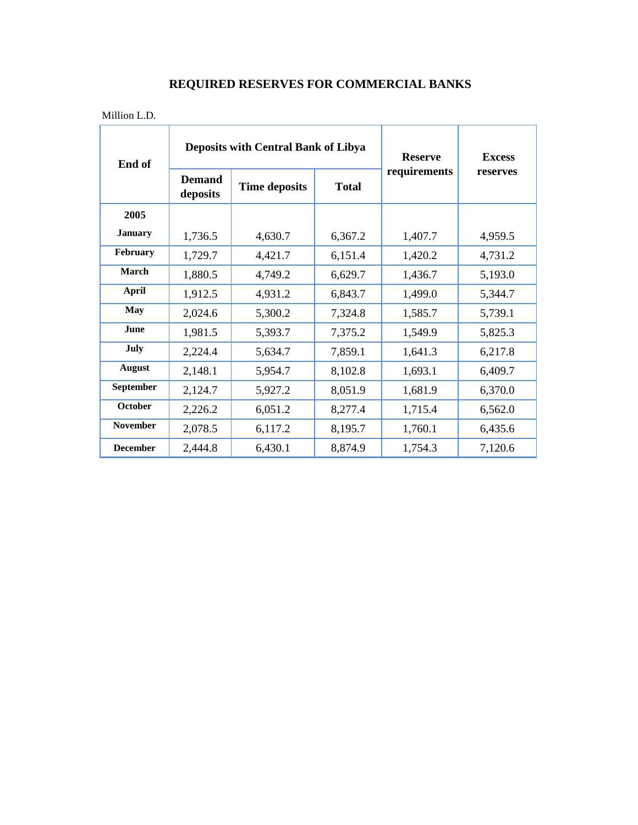Million L.D.

| End of           | <b>Deposits with Central Bank of Libya</b> |                      |              | <b>Reserve</b> | <b>Excess</b> |
|------------------|--------------------------------------------|----------------------|--------------|----------------|---------------|
|                  | <b>Demand</b><br>deposits                  | <b>Time deposits</b> | <b>Total</b> | requirements   | reserves      |
| 2005             |                                            |                      |              |                |               |
| <b>January</b>   | 1,736.5                                    | 4,630.7              | 6,367.2      | 1,407.7        | 4,959.5       |
| February         | 1,729.7                                    | 4,421.7              | 6,151.4      | 1,420.2        | 4,731.2       |
| March            | 1,880.5                                    | 4,749.2              | 6,629.7      | 1,436.7        | 5,193.0       |
| <b>April</b>     | 1,912.5                                    | 4,931.2              | 6,843.7      | 1,499.0        | 5,344.7       |
| <b>May</b>       | 2,024.6                                    | 5,300.2              | 7,324.8      | 1,585.7        | 5,739.1       |
| <b>June</b>      | 1,981.5                                    | 5,393.7              | 7,375.2      | 1,549.9        | 5,825.3       |
| July             | 2,224.4                                    | 5,634.7              | 7,859.1      | 1,641.3        | 6,217.8       |
| <b>August</b>    | 2,148.1                                    | 5,954.7              | 8,102.8      | 1,693.1        | 6,409.7       |
| <b>September</b> | 2,124.7                                    | 5,927.2              | 8,051.9      | 1,681.9        | 6,370.0       |
| October          | 2,226.2                                    | 6,051.2              | 8,277.4      | 1,715.4        | 6,562.0       |
| <b>November</b>  | 2,078.5                                    | 6,117.2              | 8,195.7      | 1,760.1        | 6,435.6       |
| <b>December</b>  | 2,444.8                                    | 6,430.1              | 8,874.9      | 1,754.3        | 7,120.6       |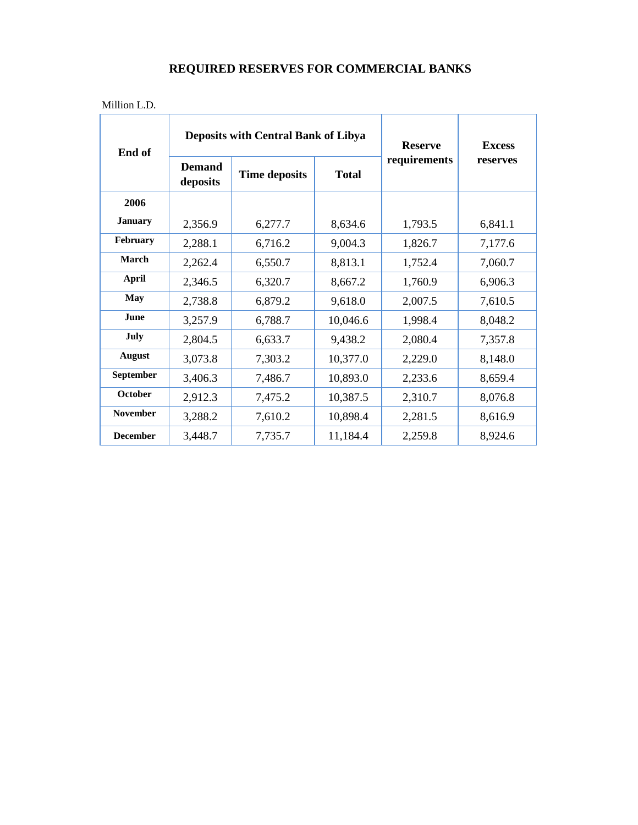| $\mathbf{M}^{(1)}$ $\mathbf{I}$<br><b>MITHOIL</b><br>L.D. |  |  |
|-----------------------------------------------------------|--|--|
|                                                           |  |  |

| End of           | <b>Deposits with Central Bank of Libya</b> |                      |              | <b>Reserve</b> | <b>Excess</b> |
|------------------|--------------------------------------------|----------------------|--------------|----------------|---------------|
|                  | <b>Demand</b><br>deposits                  | <b>Time deposits</b> | <b>Total</b> | requirements   | reserves      |
| 2006             |                                            |                      |              |                |               |
| <b>January</b>   | 2,356.9                                    | 6,277.7              | 8,634.6      | 1,793.5        | 6,841.1       |
| February         | 2,288.1                                    | 6,716.2              | 9,004.3      | 1,826.7        | 7,177.6       |
| March            | 2,262.4                                    | 6,550.7              | 8,813.1      | 1,752.4        | 7,060.7       |
| <b>April</b>     | 2,346.5                                    | 6,320.7              | 8,667.2      | 1,760.9        | 6,906.3       |
| <b>May</b>       | 2,738.8                                    | 6,879.2              | 9,618.0      | 2,007.5        | 7,610.5       |
| June             | 3,257.9                                    | 6,788.7              | 10,046.6     | 1,998.4        | 8,048.2       |
| July             | 2,804.5                                    | 6,633.7              | 9,438.2      | 2,080.4        | 7,357.8       |
| <b>August</b>    | 3,073.8                                    | 7,303.2              | 10,377.0     | 2,229.0        | 8,148.0       |
| <b>September</b> | 3,406.3                                    | 7,486.7              | 10,893.0     | 2,233.6        | 8,659.4       |
| October          | 2,912.3                                    | 7,475.2              | 10,387.5     | 2,310.7        | 8,076.8       |
| <b>November</b>  | 3,288.2                                    | 7,610.2              | 10,898.4     | 2,281.5        | 8,616.9       |
| <b>December</b>  | 3,448.7                                    | 7,735.7              | 11,184.4     | 2,259.8        | 8,924.6       |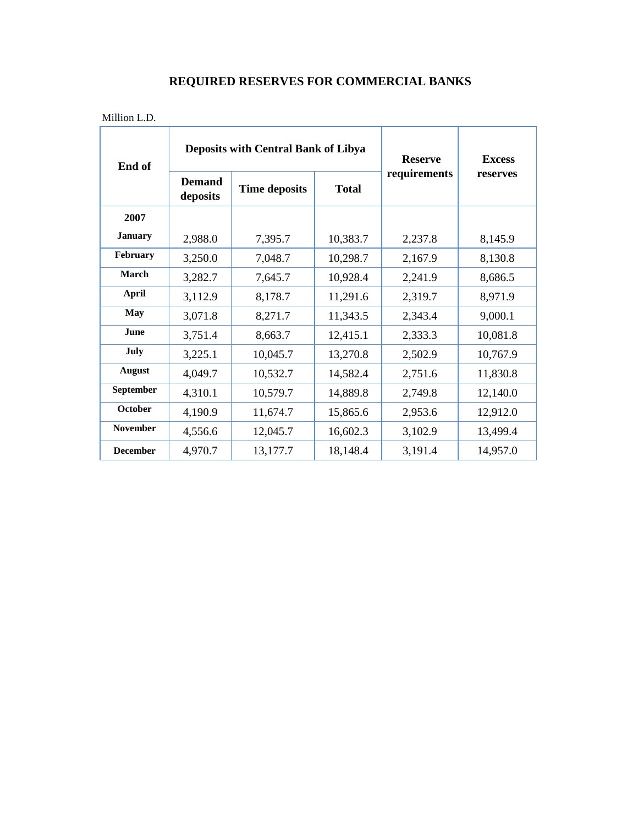| End of          | <b>Deposits with Central Bank of Libya</b> |                      |              | <b>Reserve</b> | <b>Excess</b> |
|-----------------|--------------------------------------------|----------------------|--------------|----------------|---------------|
|                 | <b>Demand</b><br>deposits                  | <b>Time deposits</b> | <b>Total</b> | requirements   | reserves      |
| 2007            |                                            |                      |              |                |               |
| <b>January</b>  | 2,988.0                                    | 7,395.7              | 10,383.7     | 2,237.8        | 8,145.9       |
| February        | 3,250.0                                    | 7,048.7              | 10,298.7     | 2,167.9        | 8,130.8       |
| March           | 3,282.7                                    | 7,645.7              | 10,928.4     | 2,241.9        | 8,686.5       |
| <b>April</b>    | 3,112.9                                    | 8,178.7              | 11,291.6     | 2,319.7        | 8,971.9       |
| <b>May</b>      | 3,071.8                                    | 8,271.7              | 11,343.5     | 2,343.4        | 9,000.1       |
| <b>June</b>     | 3,751.4                                    | 8,663.7              | 12,415.1     | 2,333.3        | 10,081.8      |
| July            | 3,225.1                                    | 10,045.7             | 13,270.8     | 2,502.9        | 10,767.9      |
| <b>August</b>   | 4,049.7                                    | 10,532.7             | 14,582.4     | 2,751.6        | 11,830.8      |
| September       | 4,310.1                                    | 10,579.7             | 14,889.8     | 2,749.8        | 12,140.0      |
| October         | 4,190.9                                    | 11,674.7             | 15,865.6     | 2,953.6        | 12,912.0      |
| <b>November</b> | 4,556.6                                    | 12,045.7             | 16,602.3     | 3,102.9        | 13,499.4      |
| <b>December</b> | 4,970.7                                    | 13,177.7             | 18,148.4     | 3,191.4        | 14,957.0      |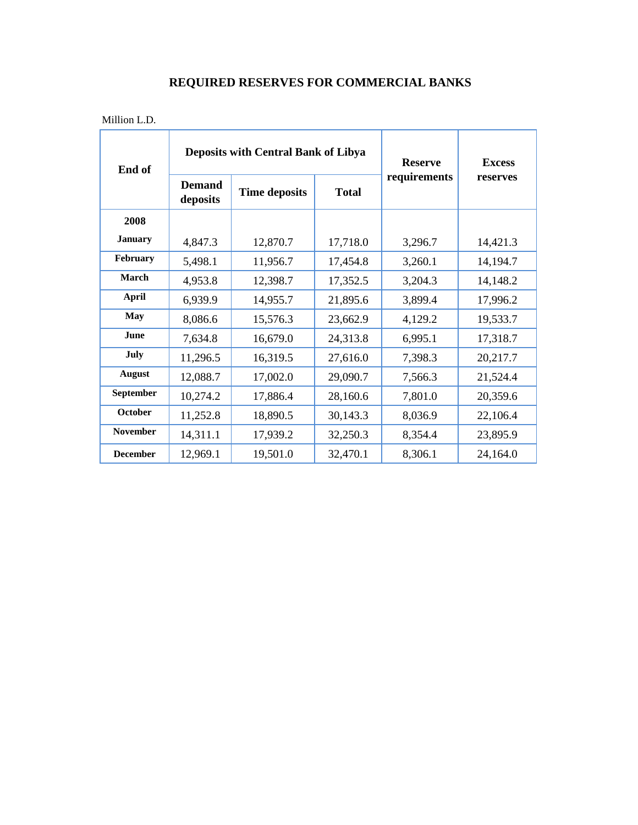| Million L.D. |
|--------------|
|--------------|

| End of          | <b>Deposits with Central Bank of Libya</b> |                      |              | <b>Reserve</b> | <b>Excess</b> |
|-----------------|--------------------------------------------|----------------------|--------------|----------------|---------------|
|                 | <b>Demand</b><br>deposits                  | <b>Time deposits</b> | <b>Total</b> | requirements   | reserves      |
| 2008            |                                            |                      |              |                |               |
| <b>January</b>  | 4,847.3                                    | 12,870.7             | 17,718.0     | 3,296.7        | 14,421.3      |
| February        | 5,498.1                                    | 11,956.7             | 17,454.8     | 3,260.1        | 14,194.7      |
| March           | 4,953.8                                    | 12,398.7             | 17,352.5     | 3,204.3        | 14,148.2      |
| <b>April</b>    | 6,939.9                                    | 14,955.7             | 21,895.6     | 3,899.4        | 17,996.2      |
| May             | 8,086.6                                    | 15,576.3             | 23,662.9     | 4,129.2        | 19,533.7      |
| June            | 7,634.8                                    | 16,679.0             | 24,313.8     | 6,995.1        | 17,318.7      |
| July            | 11,296.5                                   | 16,319.5             | 27,616.0     | 7,398.3        | 20,217.7      |
| <b>August</b>   | 12,088.7                                   | 17,002.0             | 29,090.7     | 7,566.3        | 21,524.4      |
| September       | 10,274.2                                   | 17,886.4             | 28,160.6     | 7,801.0        | 20,359.6      |
| October         | 11,252.8                                   | 18,890.5             | 30,143.3     | 8,036.9        | 22,106.4      |
| <b>November</b> | 14,311.1                                   | 17,939.2             | 32,250.3     | 8,354.4        | 23,895.9      |
| <b>December</b> | 12,969.1                                   | 19,501.0             | 32,470.1     | 8,306.1        | 24,164.0      |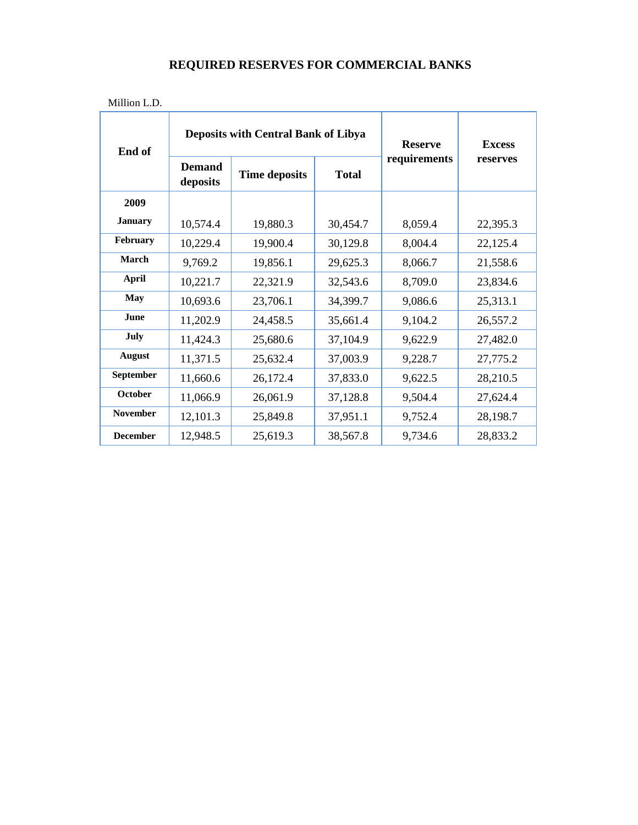| Million L.D. |
|--------------|
|--------------|

| End of          | <b>Deposits with Central Bank of Libya</b> |                      |              | <b>Reserve</b> | <b>Excess</b> |
|-----------------|--------------------------------------------|----------------------|--------------|----------------|---------------|
|                 | <b>Demand</b><br>deposits                  | <b>Time deposits</b> | <b>Total</b> | requirements   | reserves      |
| 2009            |                                            |                      |              |                |               |
| <b>January</b>  | 10,574.4                                   | 19,880.3             | 30,454.7     | 8,059.4        | 22,395.3      |
| February        | 10,229.4                                   | 19,900.4             | 30,129.8     | 8,004.4        | 22,125.4      |
| March           | 9,769.2                                    | 19,856.1             | 29,625.3     | 8,066.7        | 21,558.6      |
| <b>April</b>    | 10,221.7                                   | 22,321.9             | 32,543.6     | 8,709.0        | 23,834.6      |
| <b>May</b>      | 10,693.6                                   | 23,706.1             | 34,399.7     | 9,086.6        | 25,313.1      |
| June            | 11,202.9                                   | 24,458.5             | 35,661.4     | 9,104.2        | 26,557.2      |
| July            | 11,424.3                                   | 25,680.6             | 37,104.9     | 9,622.9        | 27,482.0      |
| <b>August</b>   | 11,371.5                                   | 25,632.4             | 37,003.9     | 9,228.7        | 27,775.2      |
| September       | 11,660.6                                   | 26,172.4             | 37,833.0     | 9,622.5        | 28,210.5      |
| <b>October</b>  | 11,066.9                                   | 26,061.9             | 37,128.8     | 9,504.4        | 27,624.4      |
| <b>November</b> | 12,101.3                                   | 25,849.8             | 37,951.1     | 9,752.4        | 28,198.7      |
| <b>December</b> | 12,948.5                                   | 25,619.3             | 38,567.8     | 9,734.6        | 28,833.2      |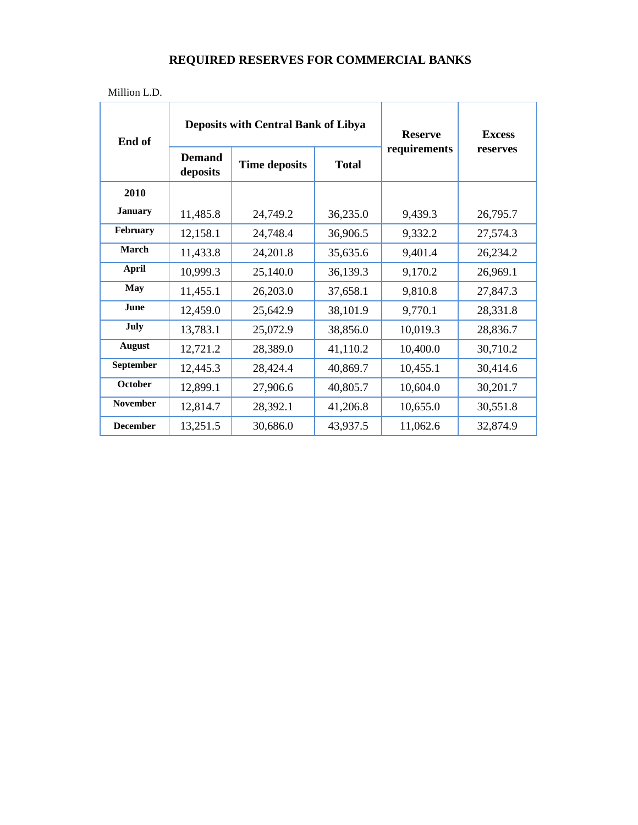| Million L.D. |  |
|--------------|--|
|              |  |

| End of          |                           | <b>Deposits with Central Bank of Libya</b> | <b>Reserve</b> | <b>Excess</b> |          |
|-----------------|---------------------------|--------------------------------------------|----------------|---------------|----------|
|                 | <b>Demand</b><br>deposits | <b>Time deposits</b>                       | <b>Total</b>   | requirements  | reserves |
| 2010            |                           |                                            |                |               |          |
| <b>January</b>  | 11,485.8                  | 24,749.2                                   | 36,235.0       | 9,439.3       | 26,795.7 |
| February        | 12,158.1                  | 24,748.4                                   | 36,906.5       | 9,332.2       | 27,574.3 |
| March           | 11,433.8                  | 24,201.8                                   | 35,635.6       | 9,401.4       | 26,234.2 |
| <b>April</b>    | 10,999.3                  | 25,140.0                                   | 36,139.3       | 9,170.2       | 26,969.1 |
| <b>May</b>      | 11,455.1                  | 26,203.0                                   | 37,658.1       | 9,810.8       | 27,847.3 |
| June            | 12,459.0                  | 25,642.9                                   | 38,101.9       | 9,770.1       | 28,331.8 |
| July            | 13,783.1                  | 25,072.9                                   | 38,856.0       | 10,019.3      | 28,836.7 |
| <b>August</b>   | 12,721.2                  | 28,389.0                                   | 41,110.2       | 10,400.0      | 30,710.2 |
| September       | 12,445.3                  | 28,424.4                                   | 40,869.7       | 10,455.1      | 30,414.6 |
| <b>October</b>  | 12,899.1                  | 27,906.6                                   | 40,805.7       | 10,604.0      | 30,201.7 |
| <b>November</b> | 12,814.7                  | 28,392.1                                   | 41,206.8       | 10,655.0      | 30,551.8 |
| <b>December</b> | 13,251.5                  | 30,686.0                                   | 43,937.5       | 11,062.6      | 32,874.9 |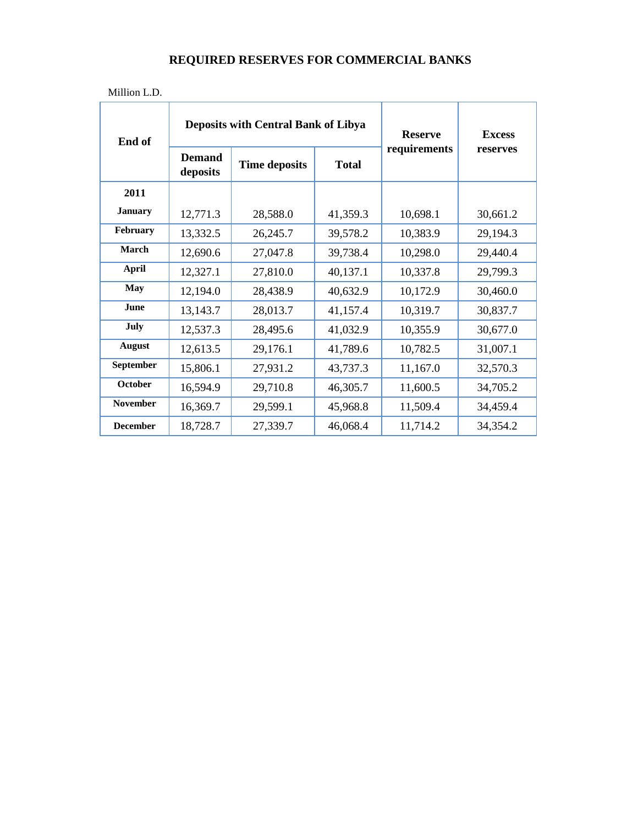| Million L.D.    |                           |                                            |                |               |          |
|-----------------|---------------------------|--------------------------------------------|----------------|---------------|----------|
| End of          |                           | <b>Deposits with Central Bank of Libya</b> | <b>Reserve</b> | <b>Excess</b> |          |
|                 | <b>Demand</b><br>deposits | <b>Time deposits</b>                       | <b>Total</b>   | requirements  | reserves |
| 2011            |                           |                                            |                |               |          |
| <b>January</b>  | 12,771.3                  | 28,588.0                                   | 41,359.3       | 10,698.1      | 30,661.2 |
| February        | 13,332.5                  | 26,245.7                                   | 39,578.2       | 10,383.9      | 29,194.3 |
| March           | 12,690.6                  | 27,047.8                                   | 39,738.4       | 10,298.0      | 29,440.4 |
| <b>April</b>    | 12,327.1                  | 27,810.0                                   | 40,137.1       | 10,337.8      | 29,799.3 |
| <b>May</b>      | 12,194.0                  | 28,438.9                                   | 40,632.9       | 10,172.9      | 30,460.0 |
| June            | 13,143.7                  | 28,013.7                                   | 41,157.4       | 10,319.7      | 30,837.7 |
| July            | 12,537.3                  | 28,495.6                                   | 41,032.9       | 10,355.9      | 30,677.0 |
| <b>August</b>   | 12,613.5                  | 29,176.1                                   | 41,789.6       | 10,782.5      | 31,007.1 |
| September       | 15,806.1                  | 27,931.2                                   | 43,737.3       | 11,167.0      | 32,570.3 |
| <b>October</b>  | 16,594.9                  | 29,710.8                                   | 46,305.7       | 11,600.5      | 34,705.2 |
| <b>November</b> | 16,369.7                  | 29,599.1                                   | 45,968.8       | 11,509.4      | 34,459.4 |
| <b>December</b> | 18,728.7                  | 27,339.7                                   | 46,068.4       | 11,714.2      | 34,354.2 |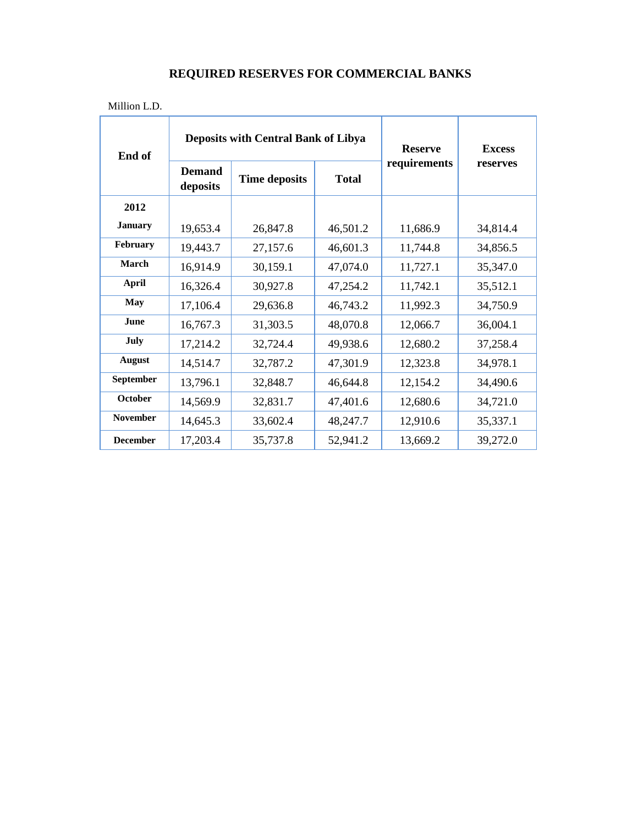| End of          |                           | <b>Deposits with Central Bank of Libya</b> | <b>Reserve</b> | <b>Excess</b> |          |
|-----------------|---------------------------|--------------------------------------------|----------------|---------------|----------|
|                 | <b>Demand</b><br>deposits | <b>Time deposits</b>                       | <b>Total</b>   | requirements  | reserves |
| 2012            |                           |                                            |                |               |          |
| <b>January</b>  | 19,653.4                  | 26,847.8                                   | 46,501.2       | 11,686.9      | 34,814.4 |
| February        | 19,443.7                  | 27,157.6                                   | 46,601.3       | 11,744.8      | 34,856.5 |
| March           | 16,914.9                  | 30,159.1                                   | 47,074.0       | 11,727.1      | 35,347.0 |
| <b>April</b>    | 16,326.4                  | 30,927.8                                   | 47,254.2       | 11,742.1      | 35,512.1 |
| <b>May</b>      | 17,106.4                  | 29,636.8                                   | 46,743.2       | 11,992.3      | 34,750.9 |
| June            | 16,767.3                  | 31,303.5                                   | 48,070.8       | 12,066.7      | 36,004.1 |
| July            | 17,214.2                  | 32,724.4                                   | 49,938.6       | 12,680.2      | 37,258.4 |
| <b>August</b>   | 14,514.7                  | 32,787.2                                   | 47,301.9       | 12,323.8      | 34,978.1 |
| September       | 13,796.1                  | 32,848.7                                   | 46,644.8       | 12,154.2      | 34,490.6 |
| October         | 14,569.9                  | 32,831.7                                   | 47,401.6       | 12,680.6      | 34,721.0 |
| <b>November</b> | 14,645.3                  | 33,602.4                                   | 48,247.7       | 12,910.6      | 35,337.1 |
| <b>December</b> | 17,203.4                  | 35,737.8                                   | 52,941.2       | 13,669.2      | 39,272.0 |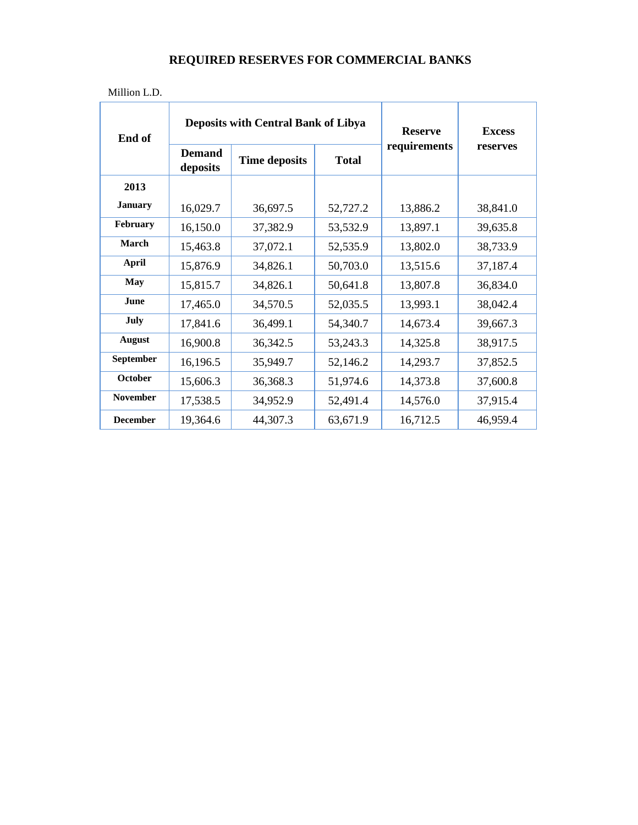| End of           |                           | <b>Deposits with Central Bank of Libya</b> | <b>Reserve</b> | <b>Excess</b> |          |
|------------------|---------------------------|--------------------------------------------|----------------|---------------|----------|
|                  | <b>Demand</b><br>deposits | <b>Time deposits</b>                       | <b>Total</b>   | requirements  | reserves |
| 2013             |                           |                                            |                |               |          |
| <b>January</b>   | 16,029.7                  | 36,697.5                                   | 52,727.2       | 13,886.2      | 38,841.0 |
| February         | 16,150.0                  | 37,382.9                                   | 53,532.9       | 13,897.1      | 39,635.8 |
| March            | 15,463.8                  | 37,072.1                                   | 52,535.9       | 13,802.0      | 38,733.9 |
| <b>April</b>     | 15,876.9                  | 34,826.1                                   | 50,703.0       | 13,515.6      | 37,187.4 |
| May              | 15,815.7                  | 34,826.1                                   | 50,641.8       | 13,807.8      | 36,834.0 |
| <b>June</b>      | 17,465.0                  | 34,570.5                                   | 52,035.5       | 13,993.1      | 38,042.4 |
| July             | 17,841.6                  | 36,499.1                                   | 54,340.7       | 14,673.4      | 39,667.3 |
| <b>August</b>    | 16,900.8                  | 36,342.5                                   | 53,243.3       | 14,325.8      | 38,917.5 |
| <b>September</b> | 16,196.5                  | 35,949.7                                   | 52,146.2       | 14,293.7      | 37,852.5 |
| <b>October</b>   | 15,606.3                  | 36,368.3                                   | 51,974.6       | 14,373.8      | 37,600.8 |
| <b>November</b>  | 17,538.5                  | 34,952.9                                   | 52,491.4       | 14,576.0      | 37,915.4 |
| <b>December</b>  | 19,364.6                  | 44,307.3                                   | 63,671.9       | 16,712.5      | 46,959.4 |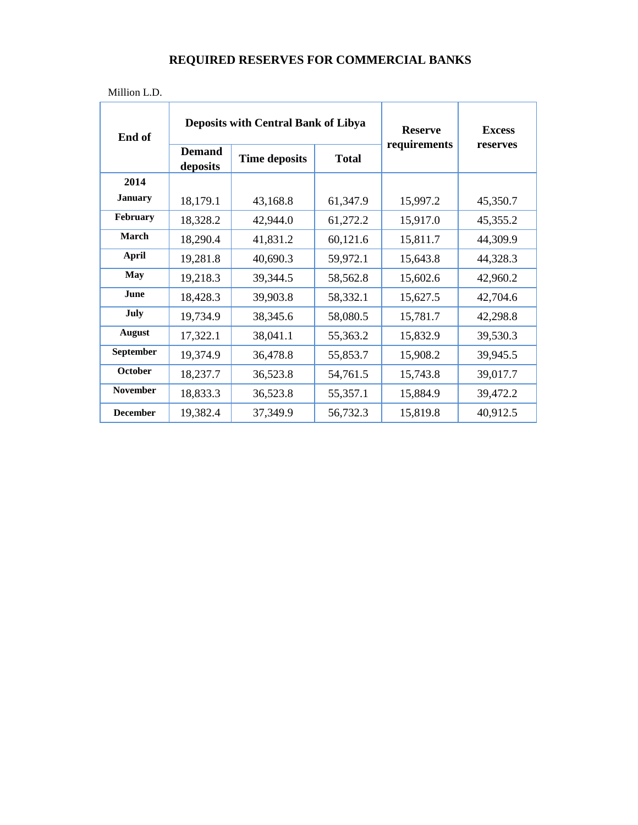| End of          |                           | <b>Deposits with Central Bank of Libya</b> | <b>Reserve</b> | <b>Excess</b> |          |
|-----------------|---------------------------|--------------------------------------------|----------------|---------------|----------|
|                 | <b>Demand</b><br>deposits | <b>Time deposits</b>                       | <b>Total</b>   | requirements  | reserves |
| 2014            |                           |                                            |                |               |          |
| <b>January</b>  | 18,179.1                  | 43,168.8                                   | 61,347.9       | 15,997.2      | 45,350.7 |
| February        | 18,328.2                  | 42,944.0                                   | 61,272.2       | 15,917.0      | 45,355.2 |
| March           | 18,290.4                  | 41,831.2                                   | 60,121.6       | 15,811.7      | 44,309.9 |
| April           | 19,281.8                  | 40,690.3                                   | 59,972.1       | 15,643.8      | 44,328.3 |
| <b>May</b>      | 19,218.3                  | 39,344.5                                   | 58,562.8       | 15,602.6      | 42,960.2 |
| <b>June</b>     | 18,428.3                  | 39,903.8                                   | 58,332.1       | 15,627.5      | 42,704.6 |
| July            | 19,734.9                  | 38,345.6                                   | 58,080.5       | 15,781.7      | 42,298.8 |
| <b>August</b>   | 17,322.1                  | 38,041.1                                   | 55,363.2       | 15,832.9      | 39,530.3 |
| September       | 19,374.9                  | 36,478.8                                   | 55,853.7       | 15,908.2      | 39,945.5 |
| October         | 18,237.7                  | 36,523.8                                   | 54,761.5       | 15,743.8      | 39,017.7 |
| <b>November</b> | 18,833.3                  | 36,523.8                                   | 55,357.1       | 15,884.9      | 39,472.2 |
| <b>December</b> | 19,382.4                  | 37,349.9                                   | 56,732.3       | 15,819.8      | 40,912.5 |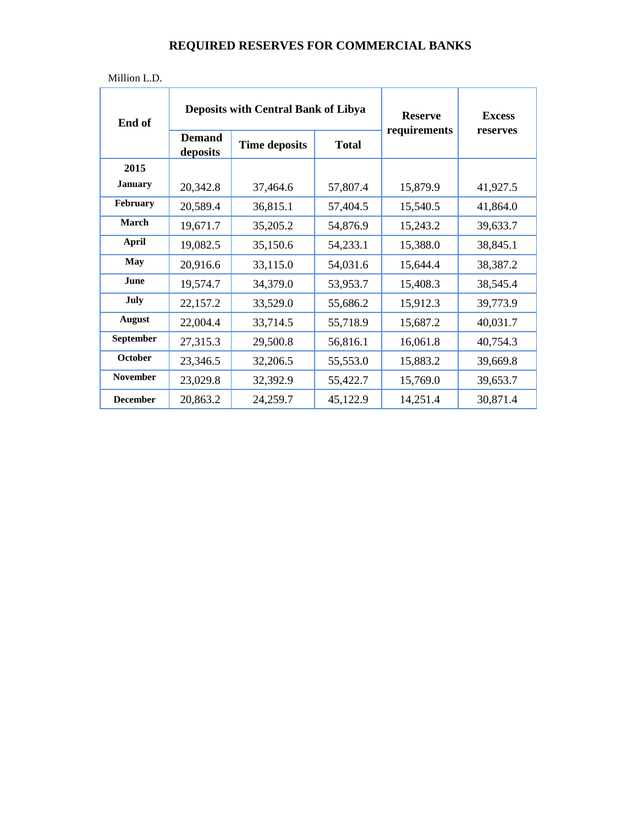| Million L.D. |
|--------------|
|--------------|

| End of          |                           | <b>Deposits with Central Bank of Libya</b> | <b>Reserve</b> | <b>Excess</b> |          |
|-----------------|---------------------------|--------------------------------------------|----------------|---------------|----------|
|                 | <b>Demand</b><br>deposits | <b>Time deposits</b>                       | <b>Total</b>   | requirements  | reserves |
| 2015            |                           |                                            |                |               |          |
| <b>January</b>  | 20,342.8                  | 37,464.6                                   | 57,807.4       | 15,879.9      | 41,927.5 |
| February        | 20,589.4                  | 36,815.1                                   | 57,404.5       | 15,540.5      | 41,864.0 |
| March           | 19,671.7                  | 35,205.2                                   | 54,876.9       | 15,243.2      | 39,633.7 |
| <b>April</b>    | 19,082.5                  | 35,150.6                                   | 54,233.1       | 15,388.0      | 38,845.1 |
| <b>May</b>      | 20,916.6                  | 33,115.0                                   | 54,031.6       | 15,644.4      | 38,387.2 |
| June            | 19,574.7                  | 34,379.0                                   | 53,953.7       | 15,408.3      | 38,545.4 |
| July            | 22,157.2                  | 33,529.0                                   | 55,686.2       | 15,912.3      | 39,773.9 |
| <b>August</b>   | 22,004.4                  | 33,714.5                                   | 55,718.9       | 15,687.2      | 40,031.7 |
| September       | 27,315.3                  | 29,500.8                                   | 56,816.1       | 16,061.8      | 40,754.3 |
| October         | 23,346.5                  | 32,206.5                                   | 55,553.0       | 15,883.2      | 39,669.8 |
| <b>November</b> | 23,029.8                  | 32,392.9                                   | 55,422.7       | 15,769.0      | 39,653.7 |
| <b>December</b> | 20,863.2                  | 24,259.7                                   | 45,122.9       | 14,251.4      | 30,871.4 |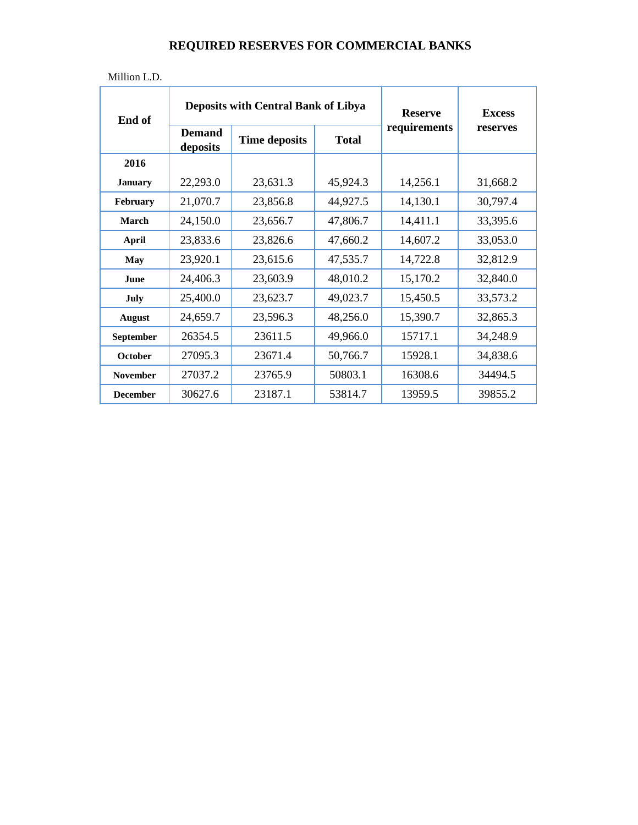| End of           |                           | <b>Deposits with Central Bank of Libya</b> | <b>Reserve</b> | <b>Excess</b> |          |
|------------------|---------------------------|--------------------------------------------|----------------|---------------|----------|
|                  | <b>Demand</b><br>deposits | <b>Time deposits</b>                       | <b>Total</b>   | requirements  | reserves |
| 2016             |                           |                                            |                |               |          |
| <b>January</b>   | 22,293.0                  | 23,631.3                                   | 45,924.3       | 14,256.1      | 31,668.2 |
| <b>February</b>  | 21,070.7                  | 23,856.8                                   | 44,927.5       | 14,130.1      | 30,797.4 |
| March            | 24,150.0                  | 23,656.7                                   | 47,806.7       | 14,411.1      | 33,395.6 |
| April            | 23,833.6                  | 23,826.6                                   | 47,660.2       | 14,607.2      | 33,053.0 |
| May              | 23,920.1                  | 23,615.6                                   | 47,535.7       | 14,722.8      | 32,812.9 |
| June             | 24,406.3                  | 23,603.9                                   | 48,010.2       | 15,170.2      | 32,840.0 |
| July             | 25,400.0                  | 23,623.7                                   | 49,023.7       | 15,450.5      | 33,573.2 |
| <b>August</b>    | 24,659.7                  | 23,596.3                                   | 48,256.0       | 15,390.7      | 32,865.3 |
| <b>September</b> | 26354.5                   | 23611.5                                    | 49,966.0       | 15717.1       | 34,248.9 |
| October          | 27095.3                   | 23671.4                                    | 50,766.7       | 15928.1       | 34,838.6 |
| <b>November</b>  | 27037.2                   | 23765.9                                    | 50803.1        | 16308.6       | 34494.5  |
| <b>December</b>  | 30627.6                   | 23187.1                                    | 53814.7        | 13959.5       | 39855.2  |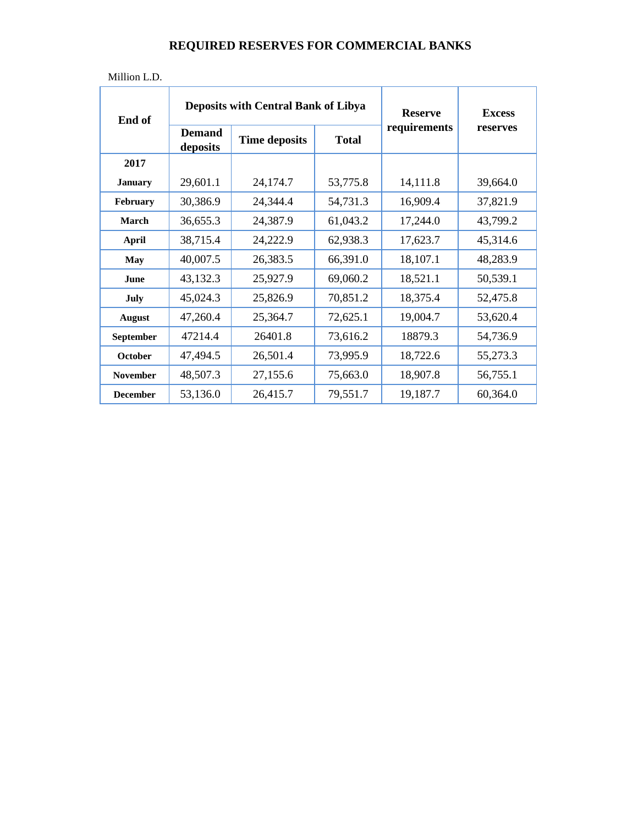| End of          |                           | <b>Deposits with Central Bank of Libya</b> | <b>Reserve</b> | <b>Excess</b> |          |
|-----------------|---------------------------|--------------------------------------------|----------------|---------------|----------|
|                 | <b>Demand</b><br>deposits | <b>Time deposits</b>                       | <b>Total</b>   | requirements  | reserves |
| 2017            |                           |                                            |                |               |          |
| <b>January</b>  | 29,601.1                  | 24,174.7                                   | 53,775.8       | 14,111.8      | 39,664.0 |
| February        | 30,386.9                  | 24,344.4                                   | 54,731.3       | 16,909.4      | 37,821.9 |
| March           | 36,655.3                  | 24,387.9                                   | 61,043.2       | 17,244.0      | 43,799.2 |
| <b>April</b>    | 38,715.4                  | 24,222.9                                   | 62,938.3       | 17,623.7      | 45,314.6 |
| <b>May</b>      | 40,007.5                  | 26,383.5                                   | 66,391.0       | 18,107.1      | 48,283.9 |
| June            | 43,132.3                  | 25,927.9                                   | 69,060.2       | 18,521.1      | 50,539.1 |
| July            | 45,024.3                  | 25,826.9                                   | 70,851.2       | 18,375.4      | 52,475.8 |
| <b>August</b>   | 47,260.4                  | 25,364.7                                   | 72,625.1       | 19,004.7      | 53,620.4 |
| September       | 47214.4                   | 26401.8                                    | 73,616.2       | 18879.3       | 54,736.9 |
| October         | 47,494.5                  | 26,501.4                                   | 73,995.9       | 18,722.6      | 55,273.3 |
| <b>November</b> | 48,507.3                  | 27,155.6                                   | 75,663.0       | 18,907.8      | 56,755.1 |
| <b>December</b> | 53,136.0                  | 26,415.7                                   | 79,551.7       | 19,187.7      | 60,364.0 |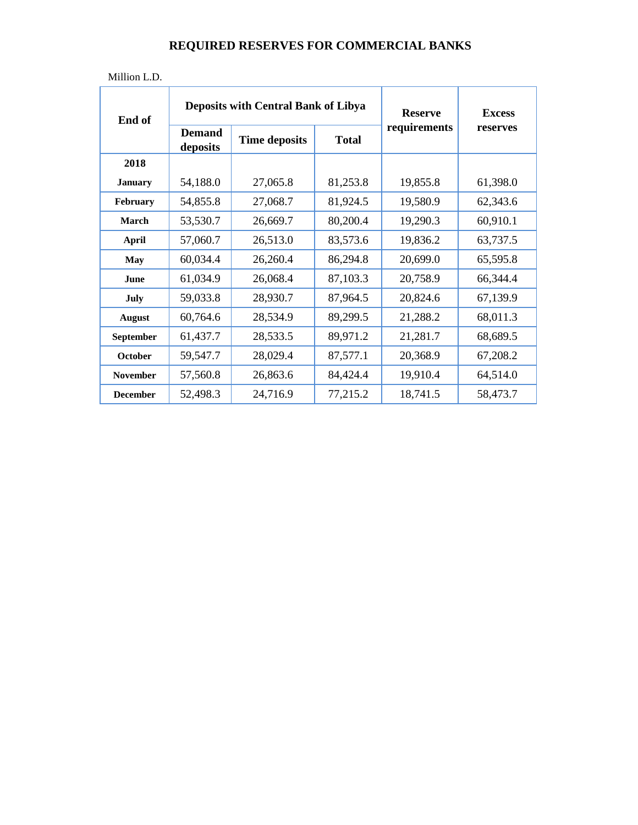| End of          |                           | <b>Deposits with Central Bank of Libya</b> | <b>Reserve</b> | <b>Excess</b> |          |
|-----------------|---------------------------|--------------------------------------------|----------------|---------------|----------|
|                 | <b>Demand</b><br>deposits | <b>Time deposits</b>                       | <b>Total</b>   | requirements  | reserves |
| 2018            |                           |                                            |                |               |          |
| <b>January</b>  | 54,188.0                  | 27,065.8                                   | 81,253.8       | 19,855.8      | 61,398.0 |
| February        | 54,855.8                  | 27,068.7                                   | 81,924.5       | 19,580.9      | 62,343.6 |
| March           | 53,530.7                  | 26,669.7                                   | 80,200.4       | 19,290.3      | 60,910.1 |
| <b>April</b>    | 57,060.7                  | 26,513.0                                   | 83,573.6       | 19,836.2      | 63,737.5 |
| <b>May</b>      | 60,034.4                  | 26,260.4                                   | 86,294.8       | 20,699.0      | 65,595.8 |
| June            | 61,034.9                  | 26,068.4                                   | 87,103.3       | 20,758.9      | 66,344.4 |
| July            | 59,033.8                  | 28,930.7                                   | 87,964.5       | 20,824.6      | 67,139.9 |
| <b>August</b>   | 60,764.6                  | 28,534.9                                   | 89,299.5       | 21,288.2      | 68,011.3 |
| September       | 61,437.7                  | 28,533.5                                   | 89,971.2       | 21,281.7      | 68,689.5 |
| October         | 59,547.7                  | 28,029.4                                   | 87,577.1       | 20,368.9      | 67,208.2 |
| <b>November</b> | 57,560.8                  | 26,863.6                                   | 84,424.4       | 19,910.4      | 64,514.0 |
| <b>December</b> | 52,498.3                  | 24,716.9                                   | 77,215.2       | 18,741.5      | 58,473.7 |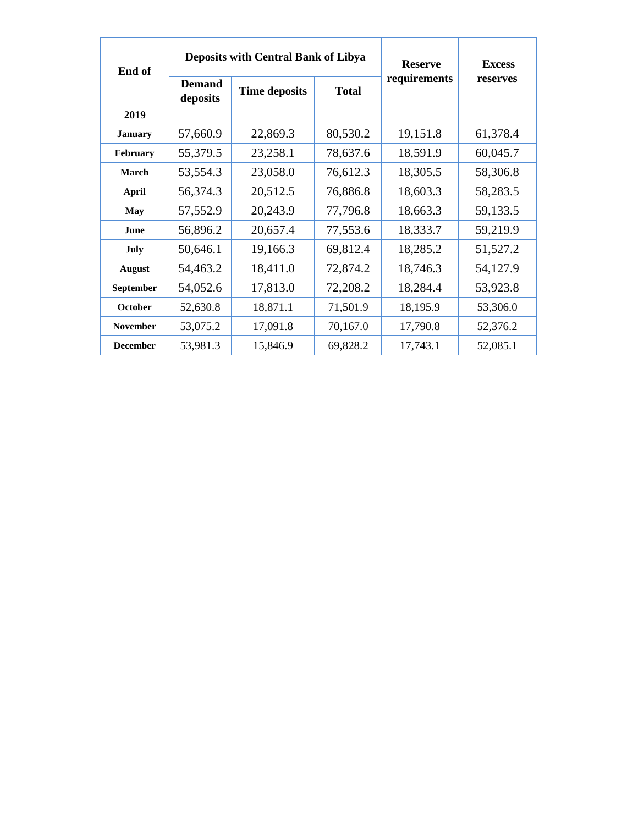| End of          |                           | <b>Deposits with Central Bank of Libya</b> | <b>Reserve</b> | <b>Excess</b> |          |
|-----------------|---------------------------|--------------------------------------------|----------------|---------------|----------|
|                 | <b>Demand</b><br>deposits | <b>Time deposits</b>                       | <b>Total</b>   | requirements  | reserves |
| 2019            |                           |                                            |                |               |          |
| <b>January</b>  | 57,660.9                  | 22,869.3                                   | 80,530.2       | 19,151.8      | 61,378.4 |
| February        | 55,379.5                  | 23,258.1                                   | 78,637.6       | 18,591.9      | 60,045.7 |
| March           | 53,554.3                  | 23,058.0                                   | 76,612.3       | 18,305.5      | 58,306.8 |
| <b>April</b>    | 56,374.3                  | 20,512.5                                   | 76,886.8       | 18,603.3      | 58,283.5 |
| May             | 57,552.9                  | 20,243.9                                   | 77,796.8       | 18,663.3      | 59,133.5 |
| June            | 56,896.2                  | 20,657.4                                   | 77,553.6       | 18,333.7      | 59,219.9 |
| July            | 50,646.1                  | 19,166.3                                   | 69,812.4       | 18,285.2      | 51,527.2 |
| <b>August</b>   | 54,463.2                  | 18,411.0                                   | 72,874.2       | 18,746.3      | 54,127.9 |
| September       | 54,052.6                  | 17,813.0                                   | 72,208.2       | 18,284.4      | 53,923.8 |
| October         | 52,630.8                  | 18,871.1                                   | 71,501.9       | 18,195.9      | 53,306.0 |
| <b>November</b> | 53,075.2                  | 17,091.8                                   | 70,167.0       | 17,790.8      | 52,376.2 |
| <b>December</b> | 53,981.3                  | 15,846.9                                   | 69,828.2       | 17,743.1      | 52,085.1 |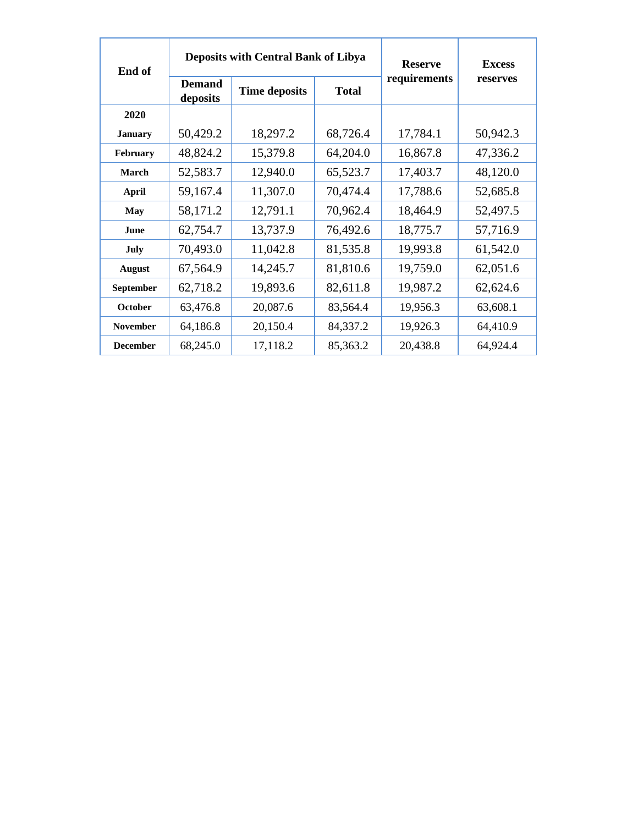| End of          | <b>Deposits with Central Bank of Libya</b> |                      |              | <b>Reserve</b> | <b>Excess</b> |
|-----------------|--------------------------------------------|----------------------|--------------|----------------|---------------|
|                 | <b>Demand</b><br>deposits                  | <b>Time deposits</b> | <b>Total</b> | requirements   | reserves      |
| 2020            |                                            |                      |              |                |               |
| <b>January</b>  | 50,429.2                                   | 18,297.2             | 68,726.4     | 17,784.1       | 50,942.3      |
| February        | 48,824.2                                   | 15,379.8             | 64,204.0     | 16,867.8       | 47,336.2      |
| March           | 52,583.7                                   | 12,940.0             | 65,523.7     | 17,403.7       | 48,120.0      |
| <b>April</b>    | 59,167.4                                   | 11,307.0             | 70,474.4     | 17,788.6       | 52,685.8      |
| May             | 58,171.2                                   | 12,791.1             | 70,962.4     | 18,464.9       | 52,497.5      |
| June            | 62,754.7                                   | 13,737.9             | 76,492.6     | 18,775.7       | 57,716.9      |
| July            | 70,493.0                                   | 11,042.8             | 81,535.8     | 19,993.8       | 61,542.0      |
| <b>August</b>   | 67,564.9                                   | 14,245.7             | 81,810.6     | 19,759.0       | 62,051.6      |
| September       | 62,718.2                                   | 19,893.6             | 82,611.8     | 19,987.2       | 62,624.6      |
| October         | 63,476.8                                   | 20,087.6             | 83,564.4     | 19,956.3       | 63,608.1      |
| <b>November</b> | 64,186.8                                   | 20,150.4             | 84,337.2     | 19,926.3       | 64,410.9      |
| <b>December</b> | 68,245.0                                   | 17,118.2             | 85,363.2     | 20,438.8       | 64,924.4      |